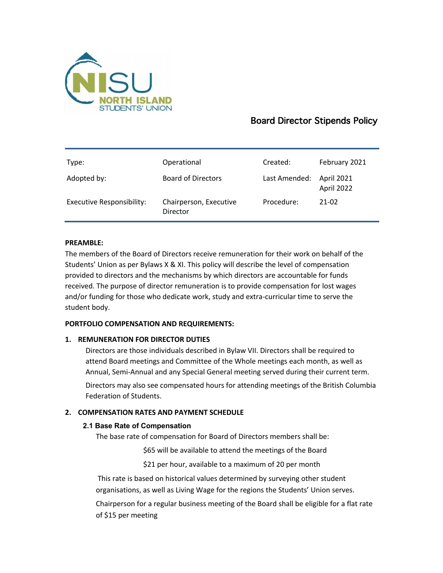

# Board Director Stipends Policy

| Type:                            | Operational                        | Created:      | February 2021            |
|----------------------------------|------------------------------------|---------------|--------------------------|
| Adopted by:                      | <b>Board of Directors</b>          | Last Amended: | April 2021<br>April 2022 |
| <b>Executive Responsibility:</b> | Chairperson, Executive<br>Director | Procedure:    | 21-02                    |

## **PREAMBLE:**

The members of the Board of Directors receive remuneration for their work on behalf of the Students' Union as per Bylaws X & XI. This policy will describe the level of compensation provided to directors and the mechanisms by which directors are accountable for funds received. The purpose of director remuneration is to provide compensation for lost wages and/or funding for those who dedicate work, study and extra-curricular time to serve the student body.

## **PORTFOLIO COMPENSATION AND REQUIREMENTS:**

## **1. REMUNERATION FOR DIRECTOR DUTIES**

Directors are those individuals described in Bylaw VII. Directors shall be required to attend Board meetings and Committee of the Whole meetings each month, as well as Annual, Semi-Annual and any Special General meeting served during their current term.

Directors may also see compensated hours for attending meetings of the British Columbia Federation of Students.

## **2. COMPENSATION RATES AND PAYMENT SCHEDULE**

## **2.1 Base Rate of Compensation**

The base rate of compensation for Board of Directors members shall be:

- \$65 will be available to attend the meetings of the Board
- \$21 per hour, available to a maximum of 20 per month

This rate is based on historical values determined by surveying other student organisations, as well as Living Wage for the regions the Students' Union serves. Chairperson for a regular business meeting of the Board shall be eligible for a flat rate of \$15 per meeting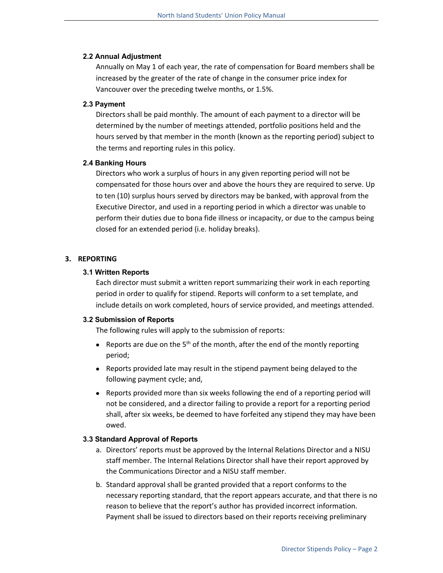#### **2.2 Annual Adjustment**

Annually on May 1 of each year, the rate of compensation for Board members shall be increased by the greater of the rate of change in the consumer price index for Vancouver over the preceding twelve months, or 1.5%.

## **2.3 Payment**

Directors shall be paid monthly. The amount of each payment to a director will be determined by the number of meetings attended, portfolio positions held and the hours served by that member in the month (known as the reporting period) subject to the terms and reporting rules in this policy.

## **2.4 Banking Hours**

Directors who work a surplus of hours in any given reporting period will not be compensated for those hours over and above the hours they are required to serve. Up to ten (10) surplus hours served by directors may be banked, with approval from the Executive Director, and used in a reporting period in which a director was unable to perform their duties due to bona fide illness or incapacity, or due to the campus being closed for an extended period (i.e. holiday breaks).

## **3. REPORTING**

## **3.1 Written Reports**

Each director must submit a written report summarizing their work in each reporting period in order to qualify for stipend. Reports will conform to a set template, and include details on work completed, hours of service provided, and meetings attended.

## **3.2 Submission of Reports**

The following rules will apply to the submission of reports:

- Reports are due on the  $5<sup>th</sup>$  of the month, after the end of the montly reporting period;
- Reports provided late may result in the stipend payment being delayed to the following payment cycle; and,
- Reports provided more than six weeks following the end of a reporting period will not be considered, and a director failing to provide a report for a reporting period shall, after six weeks, be deemed to have forfeited any stipend they may have been owed.

#### **3.3 Standard Approval of Reports**

- a. Directors' reports must be approved by the Internal Relations Director and a NISU staff member. The Internal Relations Director shall have their report approved by the Communications Director and a NISU staff member.
- b. Standard approval shall be granted provided that a report conforms to the necessary reporting standard, that the report appears accurate, and that there is no reason to believe that the report's author has provided incorrect information. Payment shall be issued to directors based on their reports receiving preliminary